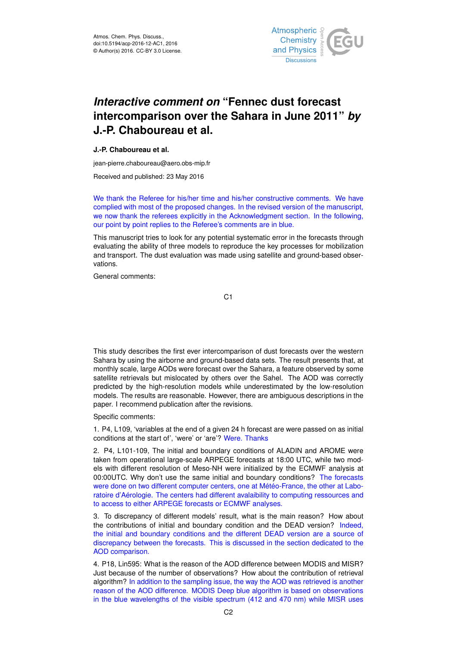

## *Interactive comment on* **"Fennec dust forecast intercomparison over the Sahara in June 2011"** *by* **J.-P. Chaboureau et al.**

## **J.-P. Chaboureau et al.**

jean-pierre.chaboureau@aero.obs-mip.fr

Received and published: 23 May 2016

We thank the Referee for his/her time and his/her constructive comments. We have complied with most of the proposed changes. In the revised version of the manuscript, we now thank the referees explicitly in the Acknowledgment section. In the following, our point by point replies to the Referee's comments are in blue.

This manuscript tries to look for any potential systematic error in the forecasts through evaluating the ability of three models to reproduce the key processes for mobilization and transport. The dust evaluation was made using satellite and ground-based observations.

General comments:

C1

This study describes the first ever intercomparison of dust forecasts over the western Sahara by using the airborne and ground-based data sets. The result presents that, at monthly scale, large AODs were forecast over the Sahara, a feature observed by some satellite retrievals but mislocated by others over the Sahel. The AOD was correctly predicted by the high-resolution models while underestimated by the low-resolution models. The results are reasonable. However, there are ambiguous descriptions in the paper. I recommend publication after the revisions.

Specific comments:

1. P4, L109, 'variables at the end of a given 24 h forecast are were passed on as initial conditions at the start of', 'were' or 'are'? Were. Thanks

2. P4, L101-109, The initial and boundary conditions of ALADIN and AROME were taken from operational large-scale ARPEGE forecasts at 18:00 UTC, while two models with different resolution of Meso-NH were initialized by the ECMWF analysis at 00:00UTC. Why don't use the same initial and boundary conditions? The forecasts were done on two different computer centers, one at Météo-France, the other at Laboratoire d'Aérologie. The centers had different avalaibility to computing ressources and to access to either ARPEGE forecasts or ECMWF analyses.

3. To discrepancy of different models' result, what is the main reason? How about the contributions of initial and boundary condition and the DEAD version? Indeed, the initial and boundary conditions and the different DEAD version are a source of discrepancy between the forecasts. This is discussed in the section dedicated to the AOD comparison.

4. P18, Lin595: What is the reason of the AOD difference between MODIS and MISR? Just because of the number of observations? How about the contribution of retrieval algorithm? In addition to the sampling issue, the way the AOD was retrieved is another reason of the AOD difference. MODIS Deep blue algorithm is based on observations in the blue wavelengths of the visible spectrum (412 and 470 nm) while MISR uses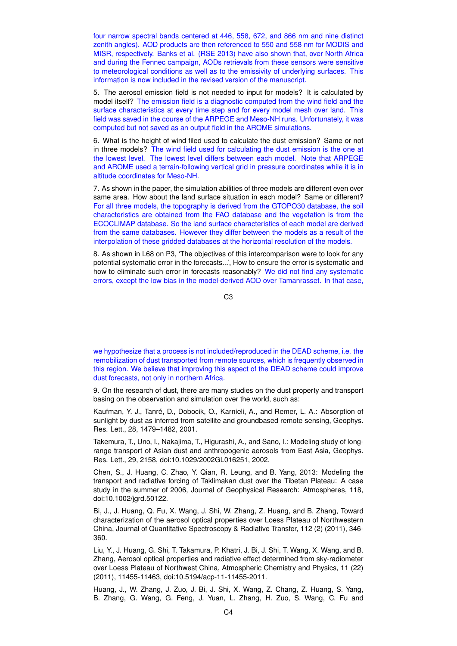four narrow spectral bands centered at 446, 558, 672, and 866 nm and nine distinct zenith angles). AOD products are then referenced to 550 and 558 nm for MODIS and MISR, respectively. Banks et al. (RSE 2013) have also shown that, over North Africa and during the Fennec campaign, AODs retrievals from these sensors were sensitive to meteorological conditions as well as to the emissivity of underlying surfaces. This information is now included in the revised version of the manuscript.

5. The aerosol emission field is not needed to input for models? It is calculated by model itself? The emission field is a diagnostic computed from the wind field and the surface characteristics at every time step and for every model mesh over land. This field was saved in the course of the ARPEGE and Meso-NH runs. Unfortunately, it was computed but not saved as an output field in the AROME simulations.

6. What is the height of wind filed used to calculate the dust emission? Same or not in three models? The wind field used for calculating the dust emission is the one at the lowest level. The lowest level differs between each model. Note that ARPEGE and AROME used a terrain-following vertical grid in pressure coordinates while it is in altitude coordinates for Meso-NH.

7. As shown in the paper, the simulation abilities of three models are different even over same area. How about the land surface situation in each model? Same or different? For all three models, the topography is derived from the GTOPO30 database, the soil characteristics are obtained from the FAO database and the vegetation is from the ECOCLIMAP database. So the land surface characteristics of each model are derived from the same databases. However they differ between the models as a result of the interpolation of these gridded databases at the horizontal resolution of the models.

8. As shown in L68 on P3, 'The objectives of this intercomparison were to look for any potential systematic error in the forecasts...', How to ensure the error is systematic and how to eliminate such error in forecasts reasonably? We did not find any systematic errors, except the low bias in the model-derived AOD over Tamanrasset. In that case,

C3

we hypothesize that a process is not included/reproduced in the DEAD scheme, i.e. the remobilization of dust transported from remote sources, which is frequently observed in this region. We believe that improving this aspect of the DEAD scheme could improve dust forecasts, not only in northern Africa.

9. On the research of dust, there are many studies on the dust property and transport basing on the observation and simulation over the world, such as:

Kaufman, Y. J., Tanré, D., Dobocik, O., Karnieli, A., and Remer, L. A.: Absorption of sunlight by dust as inferred from satellite and groundbased remote sensing, Geophys. Res. Lett., 28, 1479–1482, 2001.

Takemura, T., Uno, I., Nakajima, T., Higurashi, A., and Sano, I.: Modeling study of longrange transport of Asian dust and anthropogenic aerosols from East Asia, Geophys. Res. Lett., 29, 2158, doi:10.1029/2002GL016251, 2002.

Chen, S., J. Huang, C. Zhao, Y. Qian, R. Leung, and B. Yang, 2013: Modeling the transport and radiative forcing of Taklimakan dust over the Tibetan Plateau: A case study in the summer of 2006, Journal of Geophysical Research: Atmospheres, 118, doi:10.1002/jgrd.50122.

Bi, J., J. Huang, Q. Fu, X. Wang, J. Shi, W. Zhang, Z. Huang, and B. Zhang, Toward characterization of the aerosol optical properties over Loess Plateau of Northwestern China, Journal of Quantitative Spectroscopy & Radiative Transfer, 112 (2) (2011), 346- 360.

Liu, Y., J. Huang, G. Shi, T. Takamura, P. Khatri, J. Bi, J. Shi, T. Wang, X. Wang, and B. Zhang, Aerosol optical properties and radiative effect determined from sky-radiometer over Loess Plateau of Northwest China, Atmospheric Chemistry and Physics, 11 (22) (2011), 11455-11463, doi:10.5194/acp-11-11455-2011.

Huang, J., W. Zhang, J. Zuo, J. Bi, J. Shi, X. Wang, Z. Chang, Z. Huang, S. Yang, B. Zhang, G. Wang, G. Feng, J. Yuan, L. Zhang, H. Zuo, S. Wang, C. Fu and